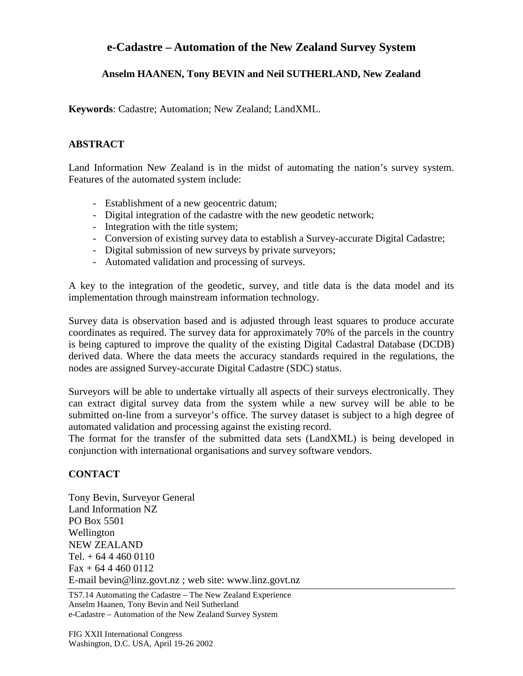## **e-Cadastre – Automation of the New Zealand Survey System**

## **Anselm HAANEN, Tony BEVIN and Neil SUTHERLAND, New Zealand**

**Keywords**: Cadastre; Automation; New Zealand; LandXML.

## **ABSTRACT**

Land Information New Zealand is in the midst of automating the nation's survey system. Features of the automated system include:

- Establishment of a new geocentric datum;
- Digital integration of the cadastre with the new geodetic network;
- Integration with the title system;
- Conversion of existing survey data to establish a Survey-accurate Digital Cadastre;
- Digital submission of new surveys by private surveyors;
- Automated validation and processing of surveys.

A key to the integration of the geodetic, survey, and title data is the data model and its implementation through mainstream information technology.

Survey data is observation based and is adjusted through least squares to produce accurate coordinates as required. The survey data for approximately 70% of the parcels in the country is being captured to improve the quality of the existing Digital Cadastral Database (DCDB) derived data. Where the data meets the accuracy standards required in the regulations, the nodes are assigned Survey-accurate Digital Cadastre (SDC) status.

Surveyors will be able to undertake virtually all aspects of their surveys electronically. They can extract digital survey data from the system while a new survey will be able to be submitted on-line from a surveyor's office. The survey dataset is subject to a high degree of automated validation and processing against the existing record.

The format for the transfer of the submitted data sets (LandXML) is being developed in conjunction with international organisations and survey software vendors.

## **CONTACT**

Tony Bevin, Surveyor General Land Information NZ PO Box 5501 Wellington NEW ZEALAND Tel.  $+ 6444600110$  $Fax + 6444600112$ E-mail bevin@linz.govt.nz ; web site: www.linz.govt.nz

TS7.14 Automating the Cadastre – The New Zealand Experience Anselm Haanen, Tony Bevin and Neil Sutherland e-Cadastre – Automation of the New Zealand Survey System